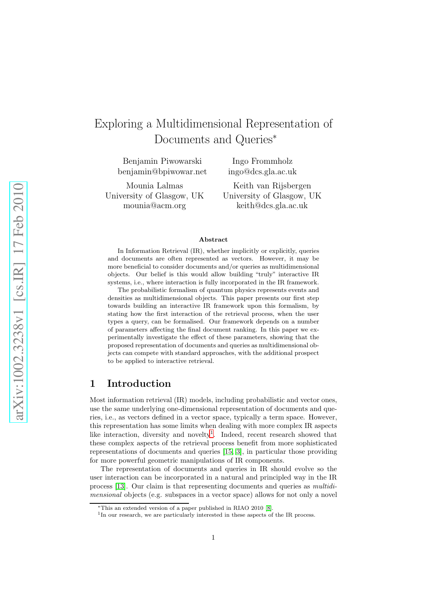# Exploring a Multidimensional Representation of Documents and Queries<sup>∗</sup>

Benjamin Piwowarski benjamin@bpiwowar.net

Mounia Lalmas University of Glasgow, UK mounia@acm.org

ingo@dcs.gla.ac.uk Keith van Rijsbergen

Ingo Frommholz

University of Glasgow, UK keith@dcs.gla.ac.uk

#### Abstract

In Information Retrieval (IR), whether implicitly or explicitly, queries and documents are often represented as vectors. However, it may be more beneficial to consider documents and/or queries as multidimensional objects. Our belief is this would allow building "truly" interactive IR systems, i.e., where interaction is fully incorporated in the IR framework.

The probabilistic formalism of quantum physics represents events and densities as multidimensional objects. This paper presents our first step towards building an interactive IR framework upon this formalism, by stating how the first interaction of the retrieval process, when the user types a query, can be formalised. Our framework depends on a number of parameters affecting the final document ranking. In this paper we experimentally investigate the effect of these parameters, showing that the proposed representation of documents and queries as multidimensional objects can compete with standard approaches, with the additional prospect to be applied to interactive retrieval.

#### 1 Introduction

Most information retrieval (IR) models, including probabilistic and vector ones, use the same underlying one-dimensional representation of documents and queries, i.e., as vectors defined in a vector space, typically a term space. However, this representation has some limits when dealing with more complex IR aspects like interaction, diversity and novelty<sup>[1](#page-0-0)</sup>. Indeed, recent research showed that these complex aspects of the retrieval process benefit from more sophisticated representations of documents and queries [\[15,](#page-11-0) [3\]](#page-10-1), in particular those providing for more powerful geometric manipulations of IR components.

The representation of documents and queries in IR should evolve so the user interaction can be incorporated in a natural and principled way in the IR process [\[13\]](#page-11-1). Our claim is that representing documents and queries as multidimensional objects (e.g. subspaces in a vector space) allows for not only a novel

<span id="page-0-0"></span>

 $*$ This an extended version of a paper published in RIAO 2010 [\[8\]](#page-10-0).<br><sup>1</sup>In our research, we are particularly interested in these aspects of the IR process.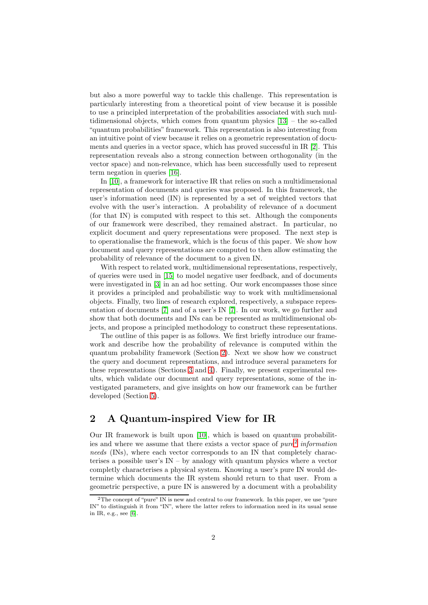but also a more powerful way to tackle this challenge. This representation is particularly interesting from a theoretical point of view because it is possible to use a principled interpretation of the probabilities associated with such multidimensional objects, which comes from quantum physics [\[13\]](#page-11-1) – the so-called "quantum probabilities" framework. This representation is also interesting from an intuitive point of view because it relies on a geometric representation of documents and queries in a vector space, which has proved successful in IR [\[2\]](#page-10-3). This representation reveals also a strong connection between orthogonality (in the vector space) and non-relevance, which has been successfully used to represent term negation in queries [\[16\]](#page-11-2).

In [\[10\]](#page-11-3), a framework for interactive IR that relies on such a multidimensional representation of documents and queries was proposed. In this framework, the user's information need (IN) is represented by a set of weighted vectors that evolve with the user's interaction. A probability of relevance of a document (for that IN) is computed with respect to this set. Although the components of our framework were described, they remained abstract. In particular, no explicit document and query representations were proposed. The next step is to operationalise the framework, which is the focus of this paper. We show how document and query representations are computed to then allow estimating the probability of relevance of the document to a given IN.

With respect to related work, multidimensional representations, respectively, of queries were used in [\[15\]](#page-11-0) to model negative user feedback, and of documents were investigated in [\[3\]](#page-10-1) in an ad hoc setting. Our work encompasses those since it provides a principled and probabilistic way to work with multidimensional objects. Finally, two lines of research explored, respectively, a subspace representation of documents [\[7\]](#page-10-4) and of a user's IN [\[7\]](#page-10-4). In our work, we go further and show that both documents and INs can be represented as multidimensional objects, and propose a principled methodology to construct these representations.

The outline of this paper is as follows. We first briefly introduce our framework and describe how the probability of relevance is computed within the quantum probability framework (Section [2\)](#page-1-0). Next we show how we construct the query and document representations, and introduce several parameters for these representations (Sections [3](#page-3-0) and [4\)](#page-4-0). Finally, we present experimental results, which validate our document and query representations, some of the investigated parameters, and give insights on how our framework can be further developed (Section [5\)](#page-6-0).

## <span id="page-1-0"></span>2 A Quantum-inspired View for IR

Our IR framework is built upon [\[10\]](#page-11-3), which is based on quantum probabilities and where we assume that there exists a vector space of  $pure<sup>2</sup>$  $pure<sup>2</sup>$  $pure<sup>2</sup>$  information needs (INs), where each vector corresponds to an IN that completely characterises a possible user's IN – by analogy with quantum physics where a vector completly characterises a physical system. Knowing a user's pure IN would determine which documents the IR system should return to that user. From a geometric perspective, a pure IN is answered by a document with a probability

<span id="page-1-1"></span><sup>&</sup>lt;sup>2</sup>The concept of "pure" IN is new and central to our framework. In this paper, we use "pure" IN" to distinguish it from "IN", where the latter refers to information need in its usual sense in IR, e.g., see [\[6\]](#page-10-2).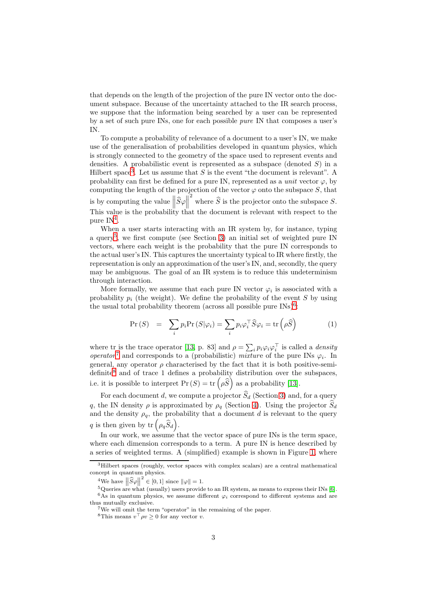that depends on the length of the projection of the pure IN vector onto the document subspace. Because of the uncertainty attached to the IR search process, we suppose that the information being searched by a user can be represented by a set of such pure INs, one for each possible pure IN that composes a user's IN.

To compute a probability of relevance of a document to a user's IN, we make use of the generalisation of probabilities developed in quantum physics, which is strongly connected to the geometry of the space used to represent events and densities. A probabilistic event is represented as a subspace (denoted  $S$ ) in a Hilbert space<sup>[3](#page-2-0)</sup>. Let us assume that S is the event "the document is relevant". A probability can first be defined for a pure IN, represented as a *unit* vector  $\varphi$ , by computing the length of the projection of the vector  $\varphi$  onto the subspace S, that is by computing the value  $\|\widehat{S}\varphi\|$ <sup>2</sup> where  $\widehat{S}$  is the projector onto the subspace S. This value is the probability that the document is relevant with respect to the pure  $IN<sup>4</sup>$  $IN<sup>4</sup>$  $IN<sup>4</sup>$ .

When a user starts interacting with an IR system by, for instance, typing a query<sup>[5](#page-2-2)</sup>, we first compute (see Section [3\)](#page-3-0) an initial set of weighted pure IN vectors, where each weight is the probability that the pure IN corresponds to the actual user's IN. This captures the uncertainty typical to IR where firstly, the representation is only an approximation of the user's IN, and, secondly, the query may be ambiguous. The goal of an IR system is to reduce this undeterminism through interaction.

More formally, we assume that each pure IN vector  $\varphi_i$  is associated with a probability  $p_i$  (the weight). We define the probability of the event S by using the usual total probability theorem (across all possible pure  $\text{INs}\text{)}^6$  $\text{INs}\text{)}^6$ :

$$
\Pr(S) = \sum_{i} p_i \Pr(S|\varphi_i) = \sum_{i} p_i \varphi_i^{\top} \widehat{S} \varphi_i = \text{tr} \left( \rho \widehat{S} \right)
$$
(1)

where tr is the trace operator [\[13,](#page-11-1) p. 83] and  $\rho = \sum_i p_i \varphi_i \varphi_i^\top$  is called a *density* operator<sup>[7](#page-2-4)</sup> and corresponds to a (probabilistic) mixture of the pure INs  $\varphi_i$ . In general, any operator  $\rho$  characterised by the fact that it is both positive-semi- $definite<sup>8</sup>$  $definite<sup>8</sup>$  $definite<sup>8</sup>$  and of trace 1 defines a probability distribution over the subspaces, i.e. it is possible to interpret  $\Pr(S) = \text{tr}(\rho \widehat{S})$  as a probability [\[13\]](#page-11-1).

For each document d, we compute a projector  $\widehat{S}_d$  (Section [3\)](#page-3-0) and, for a query q, the IN density  $\rho$  is approximated by  $\rho_q$  (Section [4\)](#page-4-0). Using the projector  $\hat{S}_d$ and the density  $\rho_q$ , the probability that a document d is relevant to the query q is then given by  $\mathrm{tr} \left( \rho_q \widehat{S}_d \right)$ .

In our work, we assume that the vector space of pure INs is the term space, where each dimension corresponds to a term. A pure IN is hence described by a series of weighted terms. A (simplified) example is shown in Figure [1,](#page-3-1) where

<sup>&</sup>lt;sup>3</sup>Hilbert spaces (roughly, vector spaces with complex scalars) are a central mathematical concept in quantum physics.

<span id="page-2-0"></span><sup>&</sup>lt;sup>4</sup>We have  $\left\|\widehat{S}\varphi\right\|$ 

<span id="page-2-2"></span><span id="page-2-1"></span><sup>&</sup>lt;sup>5</sup>Queries are what (usually) users provide to an IR system, as means to express their INs [\[6\]](#page-10-2). <sup>6</sup>As in quantum physics, we assume different  $\varphi_i$  correspond to different systems and are

<span id="page-2-3"></span>thus mutually exclusive.<br><sup>7</sup>We will omit the term "operator" in the remaining of the paper.<br><sup>8</sup>This means  $v^{\top} \rho v > 0$  for any vector *v*.

<span id="page-2-5"></span><span id="page-2-4"></span>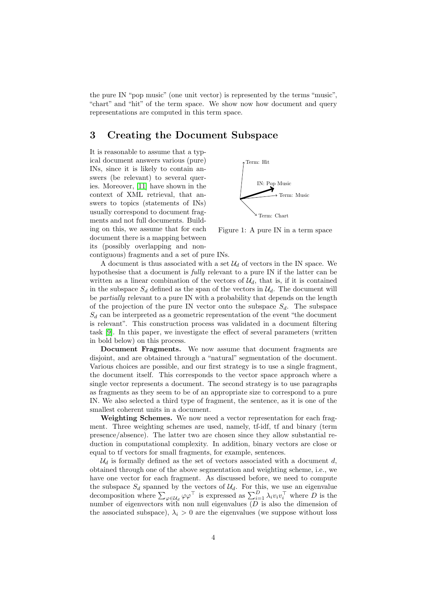the pure IN "pop music" (one unit vector) is represented by the terms "music", "chart" and "hit" of the term space. We show now how document and query representations are computed in this term space.

# <span id="page-3-0"></span>3 Creating the Document Subspace

It is reasonable to assume that a typical document answers various (pure) INs, since it is likely to contain answers (be relevant) to several queries. Moreover, [\[11\]](#page-11-5) have shown in the context of XML retrieval, that answers to topics (statements of INs) usually correspond to document fragments and not full documents. Building on this, we assume that for each document there is a mapping between its (possibly overlapping and non-

<span id="page-3-1"></span>

Figure 1: A pure IN in a term space

contiguous) fragments and a set of pure INs.

A document is thus associated with a set  $\mathcal{U}_d$  of vectors in the IN space. We hypothesise that a document is *fully* relevant to a pure IN if the latter can be written as a linear combination of the vectors of  $\mathcal{U}_d$ , that is, if it is contained in the subspace  $S_d$  defined as the span of the vectors in  $\mathcal{U}_d$ . The document will be partially relevant to a pure IN with a probability that depends on the length of the projection of the pure IN vector onto the subspace  $S_d$ . The subspace  $S_d$  can be interpreted as a geometric representation of the event "the document" is relevant". This construction process was validated in a document filtering task [\[9\]](#page-11-4). In this paper, we investigate the effect of several parameters (written in bold below) on this process.

Document Fragments. We now assume that document fragments are disjoint, and are obtained through a "natural" segmentation of the document. Various choices are possible, and our first strategy is to use a single fragment, the document itself. This corresponds to the vector space approach where a single vector represents a document. The second strategy is to use paragraphs as fragments as they seem to be of an appropriate size to correspond to a pure IN. We also selected a third type of fragment, the sentence, as it is one of the smallest coherent units in a document.

Weighting Schemes. We now need a vector representation for each fragment. Three weighting schemes are used, namely, tf-idf, tf and binary (term presence/absence). The latter two are chosen since they allow substantial reduction in computational complexity. In addition, binary vectors are close or equal to tf vectors for small fragments, for example, sentences.

 $\mathcal{U}_d$  is formally defined as the set of vectors associated with a document d, obtained through one of the above segmentation and weighting scheme, i.e., we have one vector for each fragment. As discussed before, we need to compute the subspace  $S_d$  spanned by the vectors of  $\mathcal{U}_d$ . For this, we use an eigenvalue decomposition where  $\sum_{\varphi \in \mathcal{U}_d} \varphi \varphi^{\top}$  is expressed as  $\sum_{i=1}^D \lambda_i v_i v_i^{\top}$  where  $D$  is the number of eigenvectors with non null eigenvalues  $(D \text{ is also the dimension of})$ the associated subspace),  $\lambda_i > 0$  are the eigenvalues (we suppose without loss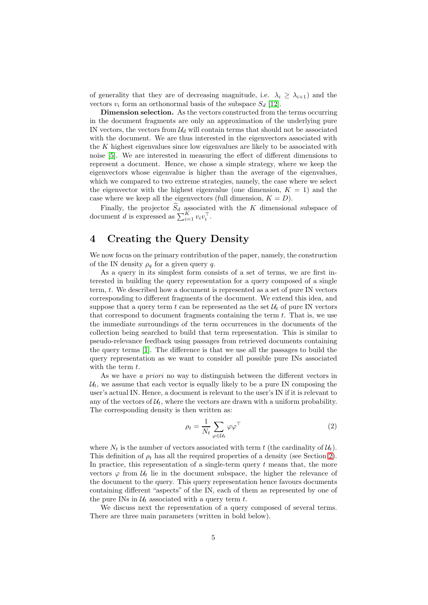of generality that they are of decreasing magnitude, i.e.  $\lambda_i \geq \lambda_{i+1}$ ) and the vectors  $v_i$  form an orthonormal basis of the subspace  $S_d$  [\[12\]](#page-11-6).

Dimension selection. As the vectors constructed from the terms occurring in the document fragments are only an approximation of the underlying pure IN vectors, the vectors from  $\mathcal{U}_d$  will contain terms that should not be associated with the document. We are thus interested in the eigenvectors associated with the K highest eigenvalues since low eigenvalues are likely to be associated with noise [\[5\]](#page-10-5). We are interested in measuring the effect of different dimensions to represent a document. Hence, we chose a simple strategy, where we keep the eigenvectors whose eigenvalue is higher than the average of the eigenvalues, which we compared to two extreme strategies, namely, the case where we select the eigenvector with the highest eigenvalue (one dimension,  $K = 1$ ) and the case where we keep all the eigenvectors (full dimension,  $K = D$ ).

Finally, the projector  $S_d$  associated with the K dimensional subspace of document *d* is expressed as  $\sum_{i=1}^{K} v_i v_i^{\top}$ .

# <span id="page-4-0"></span>4 Creating the Query Density

We now focus on the primary contribution of the paper, namely, the construction of the IN density  $\rho_a$  for a given query q.

As a query in its simplest form consists of a set of terms, we are first interested in building the query representation for a query composed of a single term, t. We described how a document is represented as a set of pure IN vectors corresponding to different fragments of the document. We extend this idea, and suppose that a query term t can be represented as the set  $\mathcal{U}_t$  of pure IN vectors that correspond to document fragments containing the term  $t$ . That is, we use the immediate surroundings of the term occurrences in the documents of the collection being searched to build that term representation. This is similar to pseudo-relevance feedback using passages from retrieved documents containing the query terms [\[1\]](#page-10-6). The difference is that we use all the passages to build the query representation as we want to consider all possible pure INs associated with the term  $t$ .

As we have a priori no way to distinguish between the different vectors in  $\mathcal{U}_t$ , we assume that each vector is equally likely to be a pure IN composing the user's actual IN. Hence, a document is relevant to the user's IN if it is relevant to any of the vectors of  $\mathcal{U}_t$ , where the vectors are drawn with a uniform probability. The corresponding density is then written as:

<span id="page-4-1"></span>
$$
\rho_t = \frac{1}{N_t} \sum_{\varphi \in \mathcal{U}_t} \varphi \varphi^\top \tag{2}
$$

where  $N_t$  is the number of vectors associated with term t (the cardinality of  $\mathcal{U}_t$ ). This definition of  $\rho_t$  has all the required properties of a density (see Section [2\)](#page-1-0). In practice, this representation of a single-term query  $t$  means that, the more vectors  $\varphi$  from  $\mathcal{U}_t$  lie in the document subspace, the higher the relevance of the document to the query. This query representation hence favours documents containing different "aspects" of the IN, each of them as represented by one of the pure INs in  $\mathcal{U}_t$  associated with a query term t.

We discuss next the representation of a query composed of several terms. There are three main parameters (written in bold below).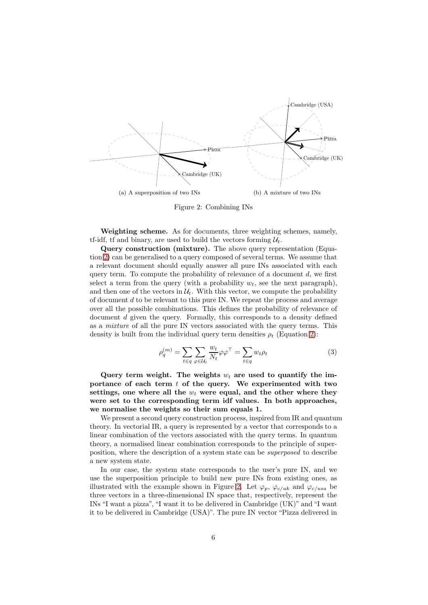<span id="page-5-0"></span>

Figure 2: Combining INs

Weighting scheme. As for documents, three weighting schemes, namely, tf-idf, if and binary, are used to build the vectors forming  $\mathcal{U}_t$ .

Query construction (mixture). The above query representation (Equation [2\)](#page-4-1) can be generalised to a query composed of several terms. We assume that a relevant document should equally answer all pure INs associated with each query term. To compute the probability of relevance of a document  $d$ , we first select a term from the query (with a probability  $w_t$ , see the next paragraph), and then one of the vectors in  $\mathcal{U}_t$ . With this vector, we compute the probability of document d to be relevant to this pure IN. We repeat the process and average over all the possible combinations. This defines the probability of relevance of document d given the query. Formally, this corresponds to a density defined as a mixture of all the pure IN vectors associated with the query terms. This density is built from the individual query term densities  $\rho_t$  (Equation [2\)](#page-4-1):

<span id="page-5-1"></span>
$$
\rho_q^{(m)} = \sum_{t \in q} \sum_{\varphi \in \mathcal{U}_t} \frac{w_t}{N_t} \varphi \varphi^\top = \sum_{t \in q} w_t \rho_t \tag{3}
$$

Query term weight. The weights  $w_t$  are used to quantify the importance of each term  $t$  of the query. We experimented with two settings, one where all the  $w_t$  were equal, and the other where they were set to the corresponding term idf values. In both approaches, we normalise the weights so their sum equals 1.

We present a second query construction process, inspired from IR and quantum theory. In vectorial IR, a query is represented by a vector that corresponds to a linear combination of the vectors associated with the query terms. In quantum theory, a normalised linear combination corresponds to the principle of superposition, where the description of a system state can be superposed to describe a new system state.

In our case, the system state corresponds to the user's pure IN, and we use the superposition principle to build new pure INs from existing ones, as illustrated with the example shown in Figure [2.](#page-5-0) Let  $\varphi_p$ ,  $\varphi_{c/uk}$  and  $\varphi_{c/usa}$  be three vectors in a three-dimensional IN space that, respectively, represent the INs "I want a pizza", "I want it to be delivered in Cambridge (UK)" and "I want it to be delivered in Cambridge (USA)". The pure IN vector "Pizza delivered in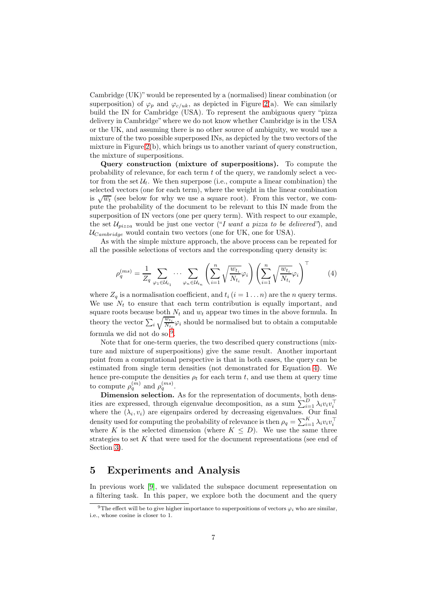Cambridge (UK)" would be represented by a (normalised) linear combination (or superposition) of  $\varphi_p$  and  $\varphi_{c/uk}$ , as depicted in Figure [2\(](#page-5-0)a). We can similarly build the IN for Cambridge (USA). To represent the ambiguous query "pizza delivery in Cambridge"where we do not know whether Cambridge is in the USA or the UK, and assuming there is no other source of ambiguity, we would use a mixture of the two possible superposed INs, as depicted by the two vectors of the mixture in Figure  $2(b)$ , which brings us to another variant of query construction, the mixture of superpositions.

Query construction (mixture of superpositions). To compute the probability of relevance, for each term t of the query, we randomly select a vector from the set  $\mathcal{U}_t$ . We then superpose (i.e., compute a linear combination) the selected vectors (one for each term), where the weight in the linear combination is  $\sqrt{w_t}$  (see below for why we use a square root). From this vector, we compute the probability of the document to be relevant to this IN made from the superposition of IN vectors (one per query term). With respect to our example, the set  $\mathcal{U}_{pizza}$  would be just one vector ("I want a pizza to be delivered"), and  $U_{Cambridge}$  would contain two vectors (one for UK, one for USA).

As with the simple mixture approach, the above process can be repeated for all the possible selections of vectors and the corresponding query density is:

<span id="page-6-2"></span>
$$
\rho_q^{(ms)} = \frac{1}{Z_q} \sum_{\varphi_1 \in \mathcal{U}_{t_1}} \cdots \sum_{\varphi_n \in \mathcal{U}_{t_n}} \left( \sum_{i=1}^n \sqrt{\frac{w_{t_i}}{N_{t_i}}} \varphi_i \right) \left( \sum_{i=1}^n \sqrt{\frac{w_{t_i}}{N_{t_i}}} \varphi_i \right)^\top
$$
(4)

where  $Z_q$  is a normalisation coefficient, and  $t_i$   $(i = 1 \dots n)$  are the n query terms. We use  $N_t$  to ensure that each term contribution is equally important, and square roots because both  $N_t$  and  $w_t$  appear two times in the above formula. In theory the vector  $\sum_i \sqrt{\frac{w_{t_i}}{N_{t_i}}}$  $\frac{w_{t_i}}{N_{t_i}}\varphi_i$  should be normalised but to obtain a computable formula we did not do so  $9$ .

Note that for one-term queries, the two described query constructions (mixture and mixture of superpositions) give the same result. Another important point from a computational perspective is that in both cases, the query can be estimated from single term densities (not demonstrated for Equation [4\)](#page-6-2). We hence pre-compute the densities  $\rho_t$  for each term t, and use them at query time to compute  $\rho_q^{(m)}$  and  $\rho_q^{(ms)}$ .

Dimension selection. As for the representation of documents, both densities are expressed, through eigenvalue decomposition, as a sum  $\sum_{i=1}^{D} \lambda_i v_i v_i^{\top}$ where the  $(\lambda_i, v_i)$  are eigenpairs ordered by decreasing eigenvalues. Our final density used for computing the probability of relevance is then  $\rho_q = \sum_{i=1}^K \lambda_i v_i v_i^{\top}$ where K is the selected dimension (where  $K \leq D$ ). We use the same three strategies to set K that were used for the document representations (see end of Section [3\)](#page-3-0).

#### <span id="page-6-0"></span>5 Experiments and Analysis

In previous work [\[9\]](#page-11-4), we validated the subspace document representation on a filtering task. In this paper, we explore both the document and the query

<span id="page-6-1"></span><sup>&</sup>lt;sup>9</sup>The effect will be to give higher importance to superpositions of vectors  $\varphi_i$  who are similar. i.e., whose cosine is closer to 1.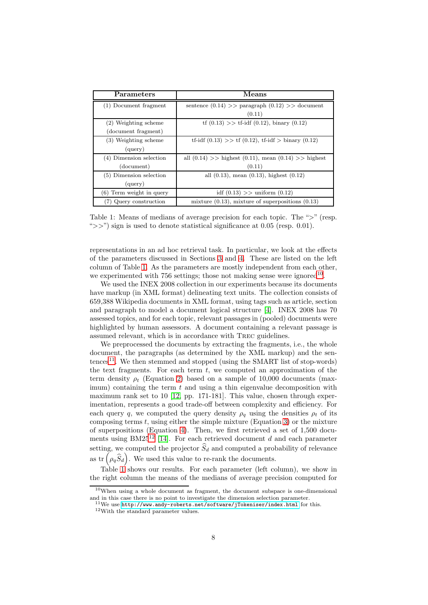<span id="page-7-0"></span>

| Parameters                 | <b>Means</b>                                                |  |
|----------------------------|-------------------------------------------------------------|--|
| (1) Document fragment      | sentence $(0.14)$ >> paragraph $(0.12)$ >> document         |  |
|                            | (0.11)                                                      |  |
| (2) Weighting scheme       | $\text{tf}(0.13) >> \text{tf-idf}(0.12)$ , binary $(0.12)$  |  |
| (document fragment)        |                                                             |  |
| (3) Weighting scheme       | tf-idf $(0.13)$ >> tf $(0.12)$ , tf-idf > binary $(0.12)$   |  |
| (query)                    |                                                             |  |
| (4) Dimension selection    | all $(0.14)$ >> highest $(0.11)$ , mean $(0.14)$ >> highest |  |
| (document)                 | (0.11)                                                      |  |
| $(5)$ Dimension selection  | all $(0.13)$ , mean $(0.13)$ , highest $(0.12)$             |  |
| (query)                    |                                                             |  |
| $(6)$ Term weight in query | idf $(0.13)$ >> uniform $(0.12)$                            |  |
| (7) Query construction     | mixture $(0.13)$ , mixture of superpositions $(0.13)$       |  |

Table 1: Means of medians of average precision for each topic. The ">" (resp. " $>>$ ") sign is used to denote statistical significance at 0.05 (resp. 0.01).

representations in an ad hoc retrieval task. In particular, we look at the effects of the parameters discussed in Sections [3](#page-3-0) and [4.](#page-4-0) These are listed on the left column of Table [1.](#page-7-0) As the parameters are mostly independent from each other, we experimented with 756 settings; those not making sense were ignored<sup>[10](#page-7-1)</sup>.

We used the INEX 2008 collection in our experiments because its documents have markup (in XML format) delineating text units. The collection consists of 659,388 Wikipedia documents in XML format, using tags such as article, section and paragraph to model a document logical structure [\[4\]](#page-10-7). INEX 2008 has 70 assessed topics, and for each topic, relevant passages in (pooled) documents were highlighted by human assessors. A document containing a relevant passage is assumed relevant, which is in accordance with Trec guidelines.

We preprocessed the documents by extracting the fragments, i.e., the whole document, the paragraphs (as determined by the XML markup) and the sen-tences<sup>[11](#page-7-2)</sup>. We then stemmed and stopped (using the SMART list of stop-words) the text fragments. For each term  $t$ , we computed an approximation of the term density  $\rho_t$  (Equation [2\)](#page-4-1) based on a sample of 10,000 documents (max- $\lim_{\text{num}}$  containing the term t and using a thin eigenvalue decomposition with maximum rank set to 10 [\[12,](#page-11-6) pp. 171-181]. This value, chosen through experimentation, represents a good trade-off between complexity and efficiency. For each query q, we computed the query density  $\rho_q$  using the densities  $\rho_t$  of its composing terms  $t$ , using either the simple mixture (Equation [3\)](#page-5-1) or the mixture of superpositions (Equation [4\)](#page-6-2). Then, we first retrieved a set of 1,500 docu-ments using BM25<sup>[12](#page-7-3)</sup> [\[14\]](#page-11-7). For each retrieved document d and each parameter setting, we computed the projector  $\widehat{S}_d$  and computed a probability of relevance as  $\text{tr}(\rho_q\hat{S}_d)$ . We used this value to re-rank the documents.

Table [1](#page-7-0) shows our results. For each parameter (left column), we show in the right column the means of the medians of average precision computed for

 $10$ When using a whole document as fragment, the document subspace is one-dimensional and in this case there is no point to investigate the dimension selection parameter.

<span id="page-7-1"></span><sup>&</sup>lt;sup>11</sup>We use **<http://www.andy-roberts.net/software/jTokeniser/index.html> for this.** <sup>12</sup>With the standard parameter values.

<span id="page-7-3"></span><span id="page-7-2"></span>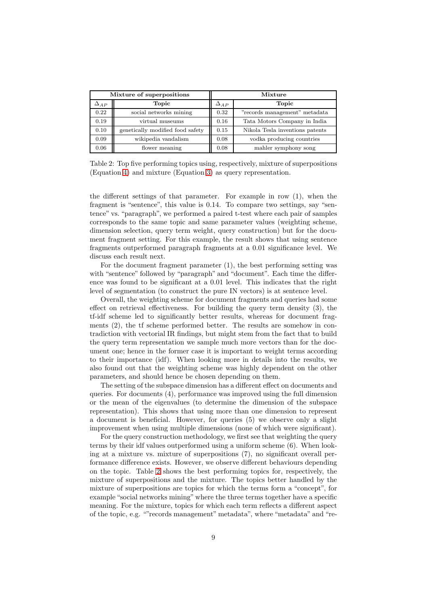<span id="page-8-0"></span>

| Mixture of superpositions |                                  | Mixture       |                                 |
|---------------------------|----------------------------------|---------------|---------------------------------|
| $\Delta_{AP}$             | Topic                            | $\Delta_{AP}$ | Topic                           |
| 0.22                      | social networks mining           | 0.32          | "records management" metadata   |
| 0.19                      | virtual museums                  | 0.16          | Tata Motors Company in India    |
| 0.10                      | genetically modified food safety | 0.15          | Nikola Tesla inventions patents |
| 0.09                      | wikipedia vandalism              | 0.08          | vodka producing countries       |
| 0.06                      | flower meaning                   | 0.08          | mahler symphony song            |

Table 2: Top five performing topics using, respectively, mixture of superpositions (Equation [4\)](#page-6-2) and mixture (Equation [3\)](#page-5-1) as query representation.

the different settings of that parameter. For example in row (1), when the fragment is "sentence", this value is 0.14. To compare two settings, say "sentence" vs. "paragraph", we performed a paired t-test where each pair of samples corresponds to the same topic and same parameter values (weighting scheme, dimension selection, query term weight, query construction) but for the document fragment setting. For this example, the result shows that using sentence fragments outperformed paragraph fragments at a 0.01 significance level. We discuss each result next.

For the document fragment parameter (1), the best performing setting was with "sentence" followed by "paragraph" and "document". Each time the difference was found to be significant at a 0.01 level. This indicates that the right level of segmentation (to construct the pure IN vectors) is at sentence level.

Overall, the weighting scheme for document fragments and queries had some effect on retrieval effectiveness. For building the query term density (3), the tf-idf scheme led to significantly better results, whereas for document fragments (2), the tf scheme performed better. The results are somehow in contradiction with vectorial IR findings, but might stem from the fact that to build the query term representation we sample much more vectors than for the document one; hence in the former case it is important to weight terms according to their importance (idf). When looking more in details into the results, we also found out that the weighting scheme was highly dependent on the other parameters, and should hence be chosen depending on them.

The setting of the subspace dimension has a different effect on documents and queries. For documents (4), performance was improved using the full dimension or the mean of the eigenvalues (to determine the dimension of the subspace representation). This shows that using more than one dimension to represent a document is beneficial. However, for queries (5) we observe only a slight improvement when using multiple dimensions (none of which were significant).

For the query construction methodology, we first see that weighting the query terms by their idf values outperformed using a uniform scheme (6). When looking at a mixture vs. mixture of superpositions (7), no significant overall performance difference exists. However, we observe different behaviours depending on the topic. Table [2](#page-8-0) shows the best performing topics for, respectively, the mixture of superpositions and the mixture. The topics better handled by the mixture of superpositions are topics for which the terms form a "concept", for example "social networks mining" where the three terms together have a specific meaning. For the mixture, topics for which each term reflects a different aspect of the topic, e.g. ""records management" metadata", where "metadata" and "re-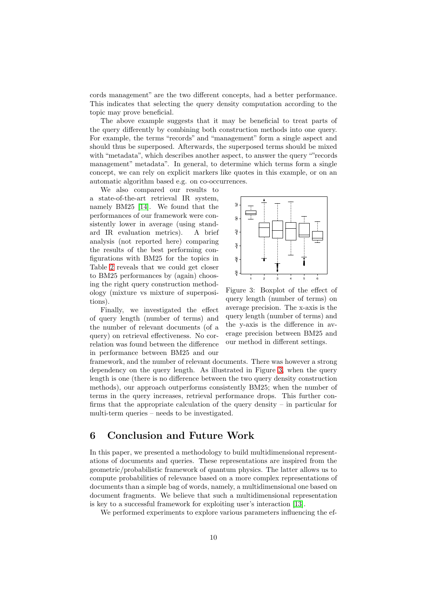cords management" are the two different concepts, had a better performance. This indicates that selecting the query density computation according to the topic may prove beneficial.

The above example suggests that it may be beneficial to treat parts of the query differently by combining both construction methods into one query. For example, the terms "records" and "management" form a single aspect and should thus be superposed. Afterwards, the superposed terms should be mixed with "metadata", which describes another aspect, to answer the query ""records management" metadata". In general, to determine which terms form a single concept, we can rely on explicit markers like quotes in this example, or on an automatic algorithm based e.g. on co-occurrences.

We also compared our results to a state-of-the-art retrieval IR system, namely BM25 [\[14\]](#page-11-7). We found that the performances of our framework were consistently lower in average (using standard IR evaluation metrics). A brief analysis (not reported here) comparing the results of the best performing configurations with BM25 for the topics in Table [2](#page-8-0) reveals that we could get closer to BM25 performances by (again) choosing the right query construction methodology (mixture vs mixture of superpositions).

Finally, we investigated the effect of query length (number of terms) and the number of relevant documents (of a query) on retrieval effectiveness. No correlation was found between the difference in performance between BM25 and our

<span id="page-9-0"></span>

Figure 3: Boxplot of the effect of query length (number of terms) on average precision. The x-axis is the query length (number of terms) and the y-axis is the difference in average precision between BM25 and our method in different settings.

framework, and the number of relevant documents. There was however a strong dependency on the query length. As illustrated in Figure [3,](#page-9-0) when the query length is one (there is no difference between the two query density construction methods), our approach outperforms consistently BM25; when the number of terms in the query increases, retrieval performance drops. This further confirms that the appropriate calculation of the query density – in particular for multi-term queries – needs to be investigated.

## 6 Conclusion and Future Work

In this paper, we presented a methodology to build multidimensional representations of documents and queries. These representations are inspired from the geometric/probabilistic framework of quantum physics. The latter allows us to compute probabilities of relevance based on a more complex representations of documents than a simple bag of words, namely, a multidimensional one based on document fragments. We believe that such a multidimensional representation is key to a successful framework for exploiting user's interaction [\[13\]](#page-11-1).

We performed experiments to explore various parameters influencing the ef-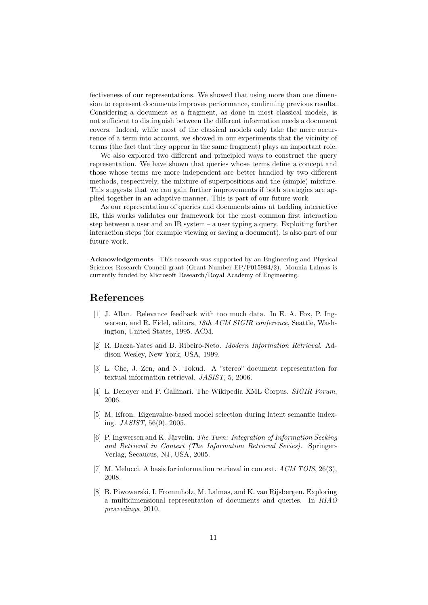fectiveness of our representations. We showed that using more than one dimension to represent documents improves performance, confirming previous results. Considering a document as a fragment, as done in most classical models, is not sufficient to distinguish between the different information needs a document covers. Indeed, while most of the classical models only take the mere occurrence of a term into account, we showed in our experiments that the vicinity of terms (the fact that they appear in the same fragment) plays an important role.

We also explored two different and principled ways to construct the query representation. We have shown that queries whose terms define a concept and those whose terms are more independent are better handled by two different methods, respectively, the mixture of superpositions and the (simple) mixture. This suggests that we can gain further improvements if both strategies are applied together in an adaptive manner. This is part of our future work.

As our representation of queries and documents aims at tackling interactive IR, this works validates our framework for the most common first interaction step between a user and an IR system – a user typing a query. Exploiting further interaction steps (for example viewing or saving a document), is also part of our future work.

Acknowledgements This research was supported by an Engineering and Physical Sciences Research Council grant (Grant Number EP/F015984/2). Mounia Lalmas is currently funded by Microsoft Research/Royal Academy of Engineering.

#### <span id="page-10-6"></span>References

- [1] J. Allan. Relevance feedback with too much data. In E. A. Fox, P. Ingwersen, and R. Fidel, editors, 18th ACM SIGIR conference, Seattle, Washington, United States, 1995. ACM.
- <span id="page-10-3"></span>[2] R. Baeza-Yates and B. Ribeiro-Neto. Modern Information Retrieval. Addison Wesley, New York, USA, 1999.
- <span id="page-10-1"></span>[3] L. Che, J. Zen, and N. Tokud. A "stereo" document representation for textual information retrieval. JASIST, 5, 2006.
- <span id="page-10-7"></span><span id="page-10-5"></span>[4] L. Denover and P. Gallinari. The Wikipedia XML Corpus. SIGIR Forum, 2006.
- [5] M. Efron. Eigenvalue-based model selection during latent semantic indexing. JASIST, 56(9), 2005.
- <span id="page-10-2"></span>[6] P. Ingwersen and K. Järvelin. The Turn: Integration of Information Seeking and Retrieval in Context (The Information Retrieval Series). Springer-Verlag, Secaucus, NJ, USA, 2005.
- <span id="page-10-4"></span><span id="page-10-0"></span>[7] M. Melucci. A basis for information retrieval in context. ACM TOIS, 26(3), 2008.
- [8] B. Piwowarski, I. Frommholz, M. Lalmas, and K. van Rijsbergen. Exploring a multidimensional representation of documents and queries. In RIAO proceedings, 2010.